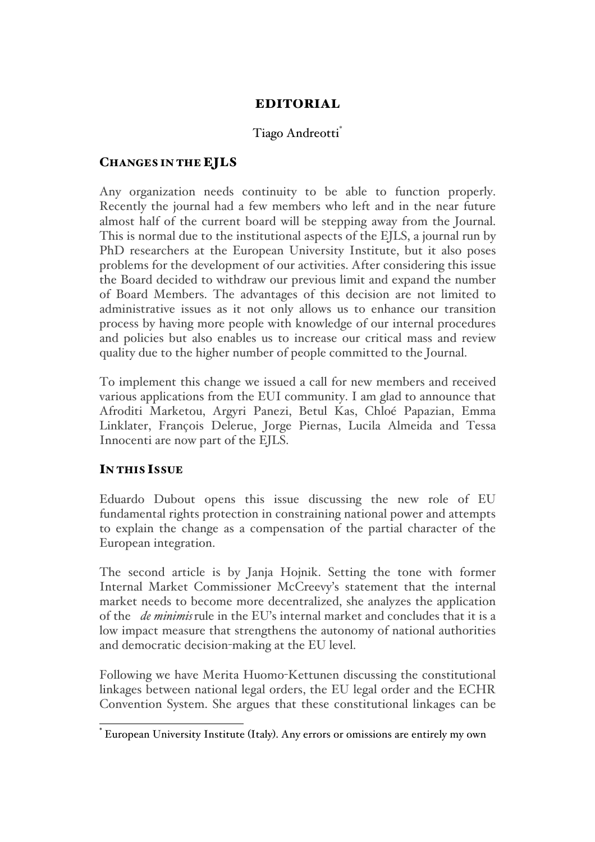# EDITORIAL

## Tiago Andreotti<sup>\*</sup>

## CHANGES IN THE EJLS

Any organization needs continuity to be able to function properly. Recently the journal had a few members who left and in the near future almost half of the current board will be stepping away from the Journal. This is normal due to the institutional aspects of the EJLS, a journal run by PhD researchers at the European University Institute, but it also poses problems for the development of our activities. After considering this issue the Board decided to withdraw our previous limit and expand the number of Board Members. The advantages of this decision are not limited to administrative issues as it not only allows us to enhance our transition process by having more people with knowledge of our internal procedures and policies but also enables us to increase our critical mass and review quality due to the higher number of people committed to the Journal.

To implement this change we issued a call for new members and received various applications from the EUI community. I am glad to announce that Afroditi Marketou, Argyri Panezi, Betul Kas, Chloé Papazian, Emma Linklater, François Delerue, Jorge Piernas, Lucila Almeida and Tessa Innocenti are now part of the EJLS.

#### IN THIS ISSUE

Eduardo Dubout opens this issue discussing the new role of EU fundamental rights protection in constraining national power and attempts to explain the change as a compensation of the partial character of the European integration.

The second article is by Janja Hojnik. Setting the tone with former Internal Market Commissioner McCreevy's statement that the internal market needs to become more decentralized, she analyzes the application of the *de minimis*rule in the EU's internal market and concludes that it is a low impact measure that strengthens the autonomy of national authorities and democratic decision-making at the EU level.

Following we have Merita Huomo-Kettunen discussing the constitutional linkages between national legal orders, the EU legal order and the ECHR Convention System. She argues that these constitutional linkages can be

 <sup>\*</sup> European University Institute (Italy). Any errors or omissions are entirely my own